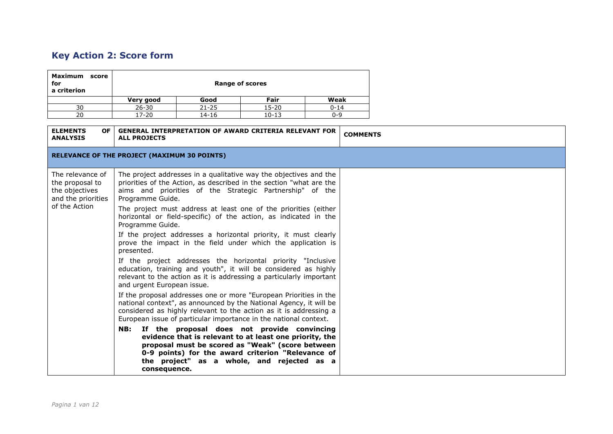## **Key Action 2: Score form**

| <b>Maximum</b><br>score<br>for<br>a criterion | <b>Range of scores</b> |           |           |          |
|-----------------------------------------------|------------------------|-----------|-----------|----------|
|                                               | Very good              | Good      | Fair      | Weak     |
| 30                                            | $26 - 30$              | $21 - 25$ | $15 - 20$ | $0 - 14$ |
| 20                                            | 17-20                  | 14-16     | $10 - 13$ | በ-ዓ      |

| <b>ELEMENTS</b><br>OF I<br><b>ANALYSIS</b>                                  | <b>GENERAL INTERPRETATION OF AWARD CRITERIA RELEVANT FOR</b><br><b>ALL PROJECTS</b>                                                                                                                                                                                               | <b>COMMENTS</b> |
|-----------------------------------------------------------------------------|-----------------------------------------------------------------------------------------------------------------------------------------------------------------------------------------------------------------------------------------------------------------------------------|-----------------|
|                                                                             | <b>RELEVANCE OF THE PROJECT (MAXIMUM 30 POINTS)</b>                                                                                                                                                                                                                               |                 |
| The relevance of<br>the proposal to<br>the objectives<br>and the priorities | The project addresses in a qualitative way the objectives and the<br>priorities of the Action, as described in the section "what are the<br>aims and priorities of the Strategic Partnership" of the<br>Programme Guide.                                                          |                 |
| of the Action                                                               | The project must address at least one of the priorities (either<br>horizontal or field-specific) of the action, as indicated in the<br>Programme Guide.                                                                                                                           |                 |
|                                                                             | If the project addresses a horizontal priority, it must clearly<br>prove the impact in the field under which the application is<br>presented.                                                                                                                                     |                 |
|                                                                             | If the project addresses the horizontal priority "Inclusive<br>education, training and youth", it will be considered as highly<br>relevant to the action as it is addressing a particularly important<br>and urgent European issue.                                               |                 |
|                                                                             | If the proposal addresses one or more "European Priorities in the<br>national context", as announced by the National Agency, it will be<br>considered as highly relevant to the action as it is addressing a<br>European issue of particular importance in the national context.  |                 |
|                                                                             | NB: If the proposal does not provide convincing<br>evidence that is relevant to at least one priority, the<br>proposal must be scored as "Weak" (score between<br>0-9 points) for the award criterion "Relevance of<br>the project" as a whole, and rejected as a<br>consequence. |                 |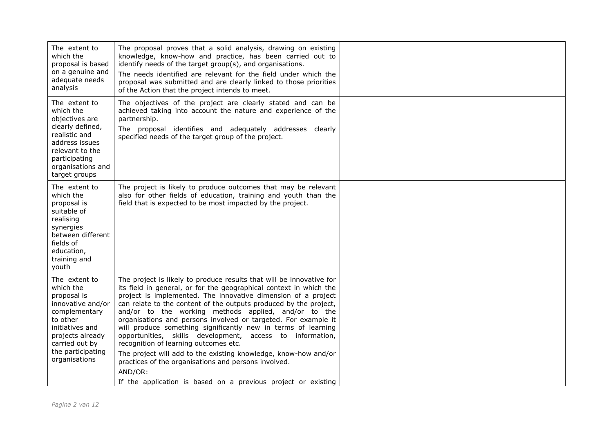| The extent to<br>which the<br>proposal is based<br>on a genuine and<br>adequate needs<br>analysis                                                                                          | The proposal proves that a solid analysis, drawing on existing<br>knowledge, know-how and practice, has been carried out to<br>identify needs of the target group(s), and organisations.<br>The needs identified are relevant for the field under which the<br>proposal was submitted and are clearly linked to those priorities<br>of the Action that the project intends to meet.                                                                                                                                                                                                                                                                                                                                     |  |
|--------------------------------------------------------------------------------------------------------------------------------------------------------------------------------------------|-------------------------------------------------------------------------------------------------------------------------------------------------------------------------------------------------------------------------------------------------------------------------------------------------------------------------------------------------------------------------------------------------------------------------------------------------------------------------------------------------------------------------------------------------------------------------------------------------------------------------------------------------------------------------------------------------------------------------|--|
| The extent to<br>which the<br>objectives are<br>clearly defined,<br>realistic and<br>address issues<br>relevant to the<br>participating<br>organisations and<br>target groups              | The objectives of the project are clearly stated and can be<br>achieved taking into account the nature and experience of the<br>partnership.<br>The proposal identifies and adequately addresses clearly<br>specified needs of the target group of the project.                                                                                                                                                                                                                                                                                                                                                                                                                                                         |  |
| The extent to<br>which the<br>proposal is<br>suitable of<br>realising<br>synergies<br>between different<br>fields of<br>education,<br>training and<br>youth                                | The project is likely to produce outcomes that may be relevant<br>also for other fields of education, training and youth than the<br>field that is expected to be most impacted by the project.                                                                                                                                                                                                                                                                                                                                                                                                                                                                                                                         |  |
| The extent to<br>which the<br>proposal is<br>innovative and/or<br>complementary<br>to other<br>initiatives and<br>projects already<br>carried out by<br>the participating<br>organisations | The project is likely to produce results that will be innovative for<br>its field in general, or for the geographical context in which the<br>project is implemented. The innovative dimension of a project<br>can relate to the content of the outputs produced by the project,<br>and/or to the working methods applied, and/or to the<br>organisations and persons involved or targeted. For example it<br>will produce something significantly new in terms of learning<br>opportunities, skills development, access to information,<br>recognition of learning outcomes etc.<br>The project will add to the existing knowledge, know-how and/or<br>practices of the organisations and persons involved.<br>AND/OR: |  |
|                                                                                                                                                                                            | If the application is based on a previous project or existing                                                                                                                                                                                                                                                                                                                                                                                                                                                                                                                                                                                                                                                           |  |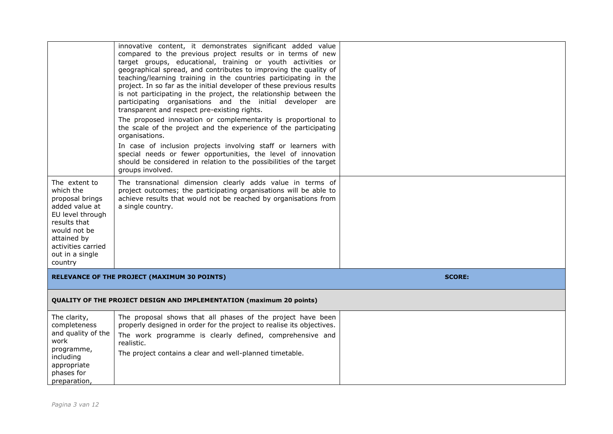| The extent to<br>which the<br>proposal brings<br>added value at<br>EU level through<br>results that<br>would not be<br>attained by<br>activities carried<br>out in a single<br>country | innovative content, it demonstrates significant added value<br>compared to the previous project results or in terms of new<br>target groups, educational, training or youth activities or<br>geographical spread, and contributes to improving the quality of<br>teaching/learning training in the countries participating in the<br>project. In so far as the initial developer of these previous results<br>is not participating in the project, the relationship between the<br>participating organisations and the initial developer are<br>transparent and respect pre-existing rights.<br>The proposed innovation or complementarity is proportional to<br>the scale of the project and the experience of the participating<br>organisations.<br>In case of inclusion projects involving staff or learners with<br>special needs or fewer opportunities, the level of innovation<br>should be considered in relation to the possibilities of the target<br>groups involved.<br>The transnational dimension clearly adds value in terms of<br>project outcomes; the participating organisations will be able to<br>achieve results that would not be reached by organisations from<br>a single country. |               |
|----------------------------------------------------------------------------------------------------------------------------------------------------------------------------------------|--------------------------------------------------------------------------------------------------------------------------------------------------------------------------------------------------------------------------------------------------------------------------------------------------------------------------------------------------------------------------------------------------------------------------------------------------------------------------------------------------------------------------------------------------------------------------------------------------------------------------------------------------------------------------------------------------------------------------------------------------------------------------------------------------------------------------------------------------------------------------------------------------------------------------------------------------------------------------------------------------------------------------------------------------------------------------------------------------------------------------------------------------------------------------------------------------------------|---------------|
|                                                                                                                                                                                        | RELEVANCE OF THE PROJECT (MAXIMUM 30 POINTS)                                                                                                                                                                                                                                                                                                                                                                                                                                                                                                                                                                                                                                                                                                                                                                                                                                                                                                                                                                                                                                                                                                                                                                 | <b>SCORE:</b> |
|                                                                                                                                                                                        | <b>QUALITY OF THE PROJECT DESIGN AND IMPLEMENTATION (maximum 20 points)</b>                                                                                                                                                                                                                                                                                                                                                                                                                                                                                                                                                                                                                                                                                                                                                                                                                                                                                                                                                                                                                                                                                                                                  |               |
| The clarity,<br>completeness<br>and quality of the<br>work<br>programme,<br>including<br>appropriate<br>phases for<br>preparation                                                      | The proposal shows that all phases of the project have been<br>properly designed in order for the project to realise its objectives.<br>The work programme is clearly defined, comprehensive and<br>realistic.<br>The project contains a clear and well-planned timetable.                                                                                                                                                                                                                                                                                                                                                                                                                                                                                                                                                                                                                                                                                                                                                                                                                                                                                                                                   |               |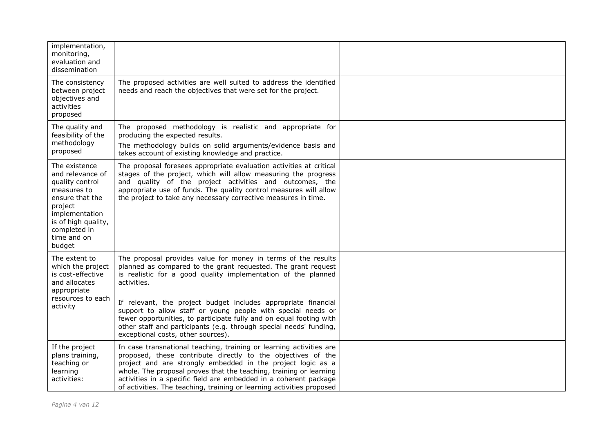| implementation,<br>monitoring,<br>evaluation and<br>dissemination                                                                                                                   |                                                                                                                                                                                                                                                                                                                                                                                                                                                                                               |  |
|-------------------------------------------------------------------------------------------------------------------------------------------------------------------------------------|-----------------------------------------------------------------------------------------------------------------------------------------------------------------------------------------------------------------------------------------------------------------------------------------------------------------------------------------------------------------------------------------------------------------------------------------------------------------------------------------------|--|
| The consistency<br>between project<br>objectives and<br>activities<br>proposed                                                                                                      | The proposed activities are well suited to address the identified<br>needs and reach the objectives that were set for the project.                                                                                                                                                                                                                                                                                                                                                            |  |
| The quality and<br>feasibility of the<br>methodology<br>proposed                                                                                                                    | The proposed methodology is realistic and appropriate for<br>producing the expected results.<br>The methodology builds on solid arguments/evidence basis and<br>takes account of existing knowledge and practice.                                                                                                                                                                                                                                                                             |  |
| The existence<br>and relevance of<br>quality control<br>measures to<br>ensure that the<br>project<br>implementation<br>is of high quality,<br>completed in<br>time and on<br>budget | The proposal foresees appropriate evaluation activities at critical<br>stages of the project, which will allow measuring the progress<br>and quality of the project activities and outcomes, the<br>appropriate use of funds. The quality control measures will allow<br>the project to take any necessary corrective measures in time.                                                                                                                                                       |  |
| The extent to<br>which the project<br>is cost-effective<br>and allocates<br>appropriate<br>resources to each<br>activity                                                            | The proposal provides value for money in terms of the results<br>planned as compared to the grant requested. The grant request<br>is realistic for a good quality implementation of the planned<br>activities.<br>If relevant, the project budget includes appropriate financial<br>support to allow staff or young people with special needs or<br>fewer opportunities, to participate fully and on equal footing with<br>other staff and participants (e.g. through special needs' funding, |  |
| If the project<br>plans training,<br>teaching or<br>learning<br>activities:                                                                                                         | exceptional costs, other sources).<br>In case transnational teaching, training or learning activities are<br>proposed, these contribute directly to the objectives of the<br>project and are strongly embedded in the project logic as a<br>whole. The proposal proves that the teaching, training or learning<br>activities in a specific field are embedded in a coherent package<br>of activities. The teaching, training or learning activities proposed                                  |  |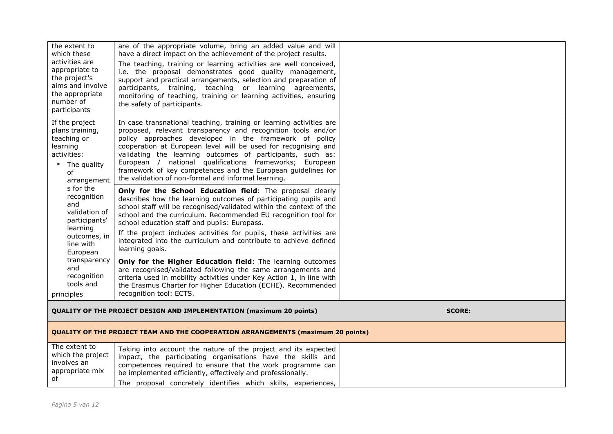| the extent to<br>which these<br>activities are<br>appropriate to<br>the project's<br>aims and involve<br>the appropriate<br>number of<br>participants | are of the appropriate volume, bring an added value and will<br>have a direct impact on the achievement of the project results.<br>The teaching, training or learning activities are well conceived,<br>i.e. the proposal demonstrates good quality management,<br>support and practical arrangements, selection and preparation of<br>participants, training, teaching or learning agreements,<br>monitoring of teaching, training or learning activities, ensuring<br>the safety of participants.             |               |
|-------------------------------------------------------------------------------------------------------------------------------------------------------|-----------------------------------------------------------------------------------------------------------------------------------------------------------------------------------------------------------------------------------------------------------------------------------------------------------------------------------------------------------------------------------------------------------------------------------------------------------------------------------------------------------------|---------------|
| If the project<br>plans training,<br>teaching or<br>learning<br>activities:<br>The quality<br>of<br>arrangement                                       | In case transnational teaching, training or learning activities are<br>proposed, relevant transparency and recognition tools and/or<br>policy approaches developed in the framework of policy<br>cooperation at European level will be used for recognising and<br>validating the learning outcomes of participants, such as:<br>European / national qualifications frameworks; European<br>framework of key competences and the European guidelines for<br>the validation of non-formal and informal learning. |               |
| s for the<br>recognition<br>and<br>validation of<br>participants'<br>learning<br>outcomes, in<br>line with<br>European                                | Only for the School Education field: The proposal clearly<br>describes how the learning outcomes of participating pupils and<br>school staff will be recognised/validated within the context of the<br>school and the curriculum. Recommended EU recognition tool for<br>school education staff and pupils: Europass.<br>If the project includes activities for pupils, these activities are<br>integrated into the curriculum and contribute to achieve defined<br>learning goals.                             |               |
| transparency<br>and<br>recognition<br>tools and<br>principles                                                                                         | Only for the Higher Education field: The learning outcomes<br>are recognised/validated following the same arrangements and<br>criteria used in mobility activities under Key Action 1, in line with<br>the Erasmus Charter for Higher Education (ECHE). Recommended<br>recognition tool: ECTS.                                                                                                                                                                                                                  |               |
|                                                                                                                                                       | <b>QUALITY OF THE PROJECT DESIGN AND IMPLEMENTATION (maximum 20 points)</b>                                                                                                                                                                                                                                                                                                                                                                                                                                     | <b>SCORE:</b> |

## **QUALITY OF THE PROJECT TEAM AND THE COOPERATION ARRANGEMENTS (maximum 20 points)**

| The extent to<br>which the project | Taking into account the nature of the project and its expected<br>impact, the participating organisations have the skills and |  |
|------------------------------------|-------------------------------------------------------------------------------------------------------------------------------|--|
| involves an<br>appropriate mix     | competences required to ensure that the work programme can<br>be implemented efficiently, effectively and professionally.     |  |
|                                    | concretely identifies which skills, experiences,<br>proposal<br>The                                                           |  |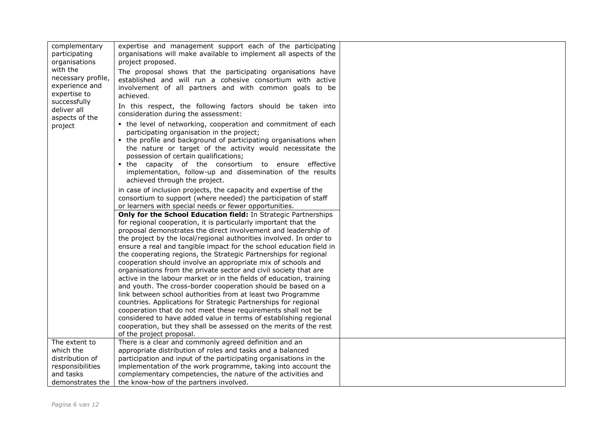| complementary<br>participating<br>organisations<br>with the<br>necessary profile,<br>experience and<br>expertise to<br>successfully<br>deliver all<br>aspects of the<br>project | expertise and management support each of the participating<br>organisations will make available to implement all aspects of the<br>project proposed.<br>The proposal shows that the participating organisations have<br>established and will run a cohesive consortium with active<br>involvement of all partners and with common goals to be<br>achieved.<br>In this respect, the following factors should be taken into<br>consideration during the assessment:<br>• the level of networking, cooperation and commitment of each<br>participating organisation in the project;<br>• the profile and background of participating organisations when<br>the nature or target of the activity would necessitate the<br>possession of certain qualifications;<br>. the capacity of the consortium to ensure effective<br>implementation, follow-up and dissemination of the results<br>achieved through the project.<br>in case of inclusion projects, the capacity and expertise of the<br>consortium to support (where needed) the participation of staff<br>or learners with special needs or fewer opportunities.<br>Only for the School Education field: In Strategic Partnerships<br>for regional cooperation, it is particularly important that the<br>proposal demonstrates the direct involvement and leadership of<br>the project by the local/regional authorities involved. In order to<br>ensure a real and tangible impact for the school education field in<br>the cooperating regions, the Strategic Partnerships for regional<br>cooperation should involve an appropriate mix of schools and<br>organisations from the private sector and civil society that are<br>active in the labour market or in the fields of education, training<br>and youth. The cross-border cooperation should be based on a<br>link between school authorities from at least two Programme<br>countries. Applications for Strategic Partnerships for regional |  |
|---------------------------------------------------------------------------------------------------------------------------------------------------------------------------------|-----------------------------------------------------------------------------------------------------------------------------------------------------------------------------------------------------------------------------------------------------------------------------------------------------------------------------------------------------------------------------------------------------------------------------------------------------------------------------------------------------------------------------------------------------------------------------------------------------------------------------------------------------------------------------------------------------------------------------------------------------------------------------------------------------------------------------------------------------------------------------------------------------------------------------------------------------------------------------------------------------------------------------------------------------------------------------------------------------------------------------------------------------------------------------------------------------------------------------------------------------------------------------------------------------------------------------------------------------------------------------------------------------------------------------------------------------------------------------------------------------------------------------------------------------------------------------------------------------------------------------------------------------------------------------------------------------------------------------------------------------------------------------------------------------------------------------------------------------------------------------------------------------------------------------------------------------------|--|
|                                                                                                                                                                                 | cooperation that do not meet these requirements shall not be<br>considered to have added value in terms of establishing regional<br>cooperation, but they shall be assessed on the merits of the rest                                                                                                                                                                                                                                                                                                                                                                                                                                                                                                                                                                                                                                                                                                                                                                                                                                                                                                                                                                                                                                                                                                                                                                                                                                                                                                                                                                                                                                                                                                                                                                                                                                                                                                                                                     |  |
|                                                                                                                                                                                 | of the project proposal.                                                                                                                                                                                                                                                                                                                                                                                                                                                                                                                                                                                                                                                                                                                                                                                                                                                                                                                                                                                                                                                                                                                                                                                                                                                                                                                                                                                                                                                                                                                                                                                                                                                                                                                                                                                                                                                                                                                                  |  |
| The extent to                                                                                                                                                                   | There is a clear and commonly agreed definition and an                                                                                                                                                                                                                                                                                                                                                                                                                                                                                                                                                                                                                                                                                                                                                                                                                                                                                                                                                                                                                                                                                                                                                                                                                                                                                                                                                                                                                                                                                                                                                                                                                                                                                                                                                                                                                                                                                                    |  |
| which the<br>distribution of                                                                                                                                                    | appropriate distribution of roles and tasks and a balanced<br>participation and input of the participating organisations in the                                                                                                                                                                                                                                                                                                                                                                                                                                                                                                                                                                                                                                                                                                                                                                                                                                                                                                                                                                                                                                                                                                                                                                                                                                                                                                                                                                                                                                                                                                                                                                                                                                                                                                                                                                                                                           |  |
| responsibilities                                                                                                                                                                | implementation of the work programme, taking into account the                                                                                                                                                                                                                                                                                                                                                                                                                                                                                                                                                                                                                                                                                                                                                                                                                                                                                                                                                                                                                                                                                                                                                                                                                                                                                                                                                                                                                                                                                                                                                                                                                                                                                                                                                                                                                                                                                             |  |
| and tasks                                                                                                                                                                       | complementary competencies, the nature of the activities and                                                                                                                                                                                                                                                                                                                                                                                                                                                                                                                                                                                                                                                                                                                                                                                                                                                                                                                                                                                                                                                                                                                                                                                                                                                                                                                                                                                                                                                                                                                                                                                                                                                                                                                                                                                                                                                                                              |  |
| demonstrates the 1                                                                                                                                                              | the know-how of the partners involved.                                                                                                                                                                                                                                                                                                                                                                                                                                                                                                                                                                                                                                                                                                                                                                                                                                                                                                                                                                                                                                                                                                                                                                                                                                                                                                                                                                                                                                                                                                                                                                                                                                                                                                                                                                                                                                                                                                                    |  |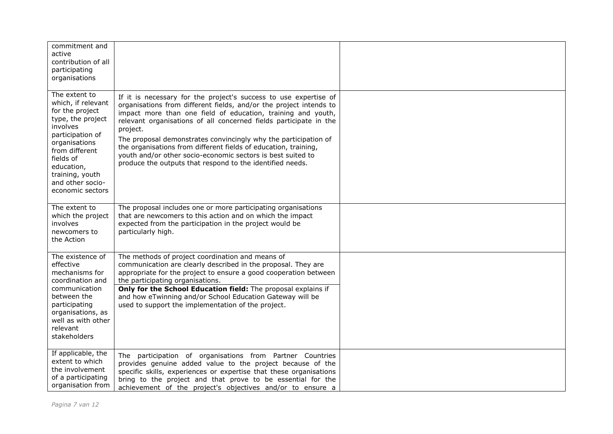| commitment and<br>active<br>contribution of all<br>participating<br>organisations                                                                                                                                                    |                                                                                                                                                                                                                                                                                                                                                                                                                                                                                                                                                           |  |
|--------------------------------------------------------------------------------------------------------------------------------------------------------------------------------------------------------------------------------------|-----------------------------------------------------------------------------------------------------------------------------------------------------------------------------------------------------------------------------------------------------------------------------------------------------------------------------------------------------------------------------------------------------------------------------------------------------------------------------------------------------------------------------------------------------------|--|
| The extent to<br>which, if relevant<br>for the project<br>type, the project<br>involves<br>participation of<br>organisations<br>from different<br>fields of<br>education,<br>training, youth<br>and other socio-<br>economic sectors | If it is necessary for the project's success to use expertise of<br>organisations from different fields, and/or the project intends to<br>impact more than one field of education, training and youth,<br>relevant organisations of all concerned fields participate in the<br>project.<br>The proposal demonstrates convincingly why the participation of<br>the organisations from different fields of education, training,<br>youth and/or other socio-economic sectors is best suited to<br>produce the outputs that respond to the identified needs. |  |
| The extent to<br>which the project<br>involves<br>newcomers to<br>the Action                                                                                                                                                         | The proposal includes one or more participating organisations<br>that are newcomers to this action and on which the impact<br>expected from the participation in the project would be<br>particularly high.                                                                                                                                                                                                                                                                                                                                               |  |
| The existence of<br>effective<br>mechanisms for<br>coordination and<br>communication<br>between the<br>participating<br>organisations, as<br>well as with other<br>relevant<br>stakeholders                                          | The methods of project coordination and means of<br>communication are clearly described in the proposal. They are<br>appropriate for the project to ensure a good cooperation between<br>the participating organisations.<br>Only for the School Education field: The proposal explains if<br>and how eTwinning and/or School Education Gateway will be<br>used to support the implementation of the project.                                                                                                                                             |  |
| If applicable, the<br>extent to which<br>the involvement<br>of a participating<br>organisation from                                                                                                                                  | The participation of organisations from Partner Countries<br>provides genuine added value to the project because of the<br>specific skills, experiences or expertise that these organisations<br>bring to the project and that prove to be essential for the<br>achievement of the project's objectives and/or to ensure a                                                                                                                                                                                                                                |  |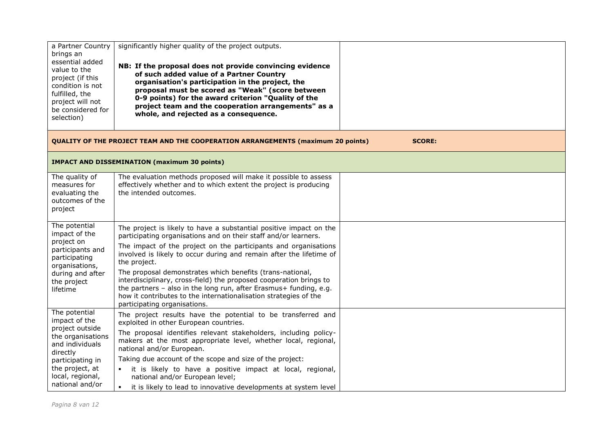| a Partner Country<br>brings an       | significantly higher quality of the project outputs.                                                                                    |               |
|--------------------------------------|-----------------------------------------------------------------------------------------------------------------------------------------|---------------|
| essential added                      | NB: If the proposal does not provide convincing evidence                                                                                |               |
| value to the<br>project (if this     | of such added value of a Partner Country                                                                                                |               |
| condition is not                     | organisation's participation in the project, the<br>proposal must be scored as "Weak" (score between                                    |               |
| fulfilled, the<br>project will not   | 0-9 points) for the award criterion "Quality of the                                                                                     |               |
| be considered for                    | project team and the cooperation arrangements" as a                                                                                     |               |
| selection)                           | whole, and rejected as a consequence.                                                                                                   |               |
|                                      |                                                                                                                                         |               |
|                                      | <b>QUALITY OF THE PROJECT TEAM AND THE COOPERATION ARRANGEMENTS (maximum 20 points)</b>                                                 | <b>SCORE:</b> |
|                                      | <b>IMPACT AND DISSEMINATION (maximum 30 points)</b>                                                                                     |               |
| The quality of                       | The evaluation methods proposed will make it possible to assess                                                                         |               |
| measures for<br>evaluating the       | effectively whether and to which extent the project is producing<br>the intended outcomes.                                              |               |
| outcomes of the                      |                                                                                                                                         |               |
| project                              |                                                                                                                                         |               |
| The potential                        | The project is likely to have a substantial positive impact on the                                                                      |               |
| impact of the<br>project on          | participating organisations and on their staff and/or learners.                                                                         |               |
| participants and                     | The impact of the project on the participants and organisations<br>involved is likely to occur during and remain after the lifetime of  |               |
| participating<br>organisations,      | the project.                                                                                                                            |               |
| during and after                     | The proposal demonstrates which benefits (trans-national,                                                                               |               |
| the project                          | interdisciplinary, cross-field) the proposed cooperation brings to<br>the partners - also in the long run, after Erasmus+ funding, e.g. |               |
| lifetime                             | how it contributes to the internationalisation strategies of the                                                                        |               |
|                                      | participating organisations.                                                                                                            |               |
| The potential<br>impact of the       | The project results have the potential to be transferred and<br>exploited in other European countries.                                  |               |
| project outside<br>the organisations | The proposal identifies relevant stakeholders, including policy-                                                                        |               |
| and individuals                      | makers at the most appropriate level, whether local, regional,<br>national and/or European.                                             |               |
| directly<br>participating in         | Taking due account of the scope and size of the project:                                                                                |               |
| the project, at                      | • it is likely to have a positive impact at local, regional,                                                                            |               |
| local, regional,<br>national and/or  | national and/or European level;                                                                                                         |               |
|                                      | it is likely to lead to innovative developments at system level<br>$\blacksquare$                                                       |               |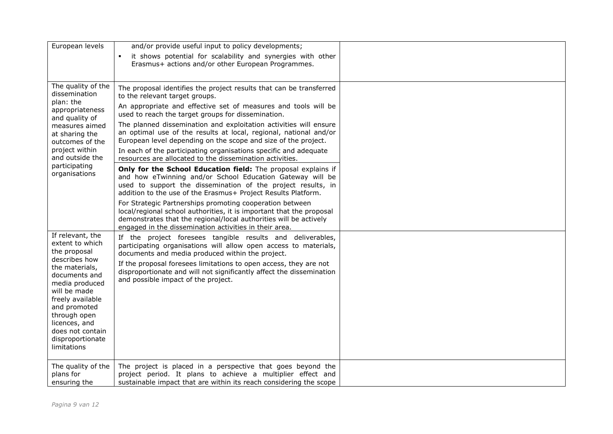| European levels                                                                                                                                                                                                                                                       | and/or provide useful input to policy developments;                                                                                                                                                                                                                                                                                                                                                                                                                                                                                                                                                                                                                                                                                                                                                                                                                                                                                                                          |  |
|-----------------------------------------------------------------------------------------------------------------------------------------------------------------------------------------------------------------------------------------------------------------------|------------------------------------------------------------------------------------------------------------------------------------------------------------------------------------------------------------------------------------------------------------------------------------------------------------------------------------------------------------------------------------------------------------------------------------------------------------------------------------------------------------------------------------------------------------------------------------------------------------------------------------------------------------------------------------------------------------------------------------------------------------------------------------------------------------------------------------------------------------------------------------------------------------------------------------------------------------------------------|--|
|                                                                                                                                                                                                                                                                       | it shows potential for scalability and synergies with other<br>$\blacksquare$<br>Erasmus+ actions and/or other European Programmes.                                                                                                                                                                                                                                                                                                                                                                                                                                                                                                                                                                                                                                                                                                                                                                                                                                          |  |
| The quality of the<br>dissemination<br>plan: the<br>appropriateness<br>and quality of<br>measures aimed<br>at sharing the<br>outcomes of the<br>project within<br>and outside the<br>participating<br>organisations                                                   | The proposal identifies the project results that can be transferred<br>to the relevant target groups.<br>An appropriate and effective set of measures and tools will be<br>used to reach the target groups for dissemination.<br>The planned dissemination and exploitation activities will ensure<br>an optimal use of the results at local, regional, national and/or<br>European level depending on the scope and size of the project.<br>In each of the participating organisations specific and adequate<br>resources are allocated to the dissemination activities.<br>Only for the School Education field: The proposal explains if<br>and how eTwinning and/or School Education Gateway will be<br>used to support the dissemination of the project results, in<br>addition to the use of the Erasmus+ Project Results Platform.<br>For Strategic Partnerships promoting cooperation between<br>local/regional school authorities, it is important that the proposal |  |
|                                                                                                                                                                                                                                                                       | demonstrates that the regional/local authorities will be actively<br>engaged in the dissemination activities in their area.                                                                                                                                                                                                                                                                                                                                                                                                                                                                                                                                                                                                                                                                                                                                                                                                                                                  |  |
| If relevant, the<br>extent to which<br>the proposal<br>describes how<br>the materials,<br>documents and<br>media produced<br>will be made<br>freely available<br>and promoted<br>through open<br>licences, and<br>does not contain<br>disproportionate<br>limitations | If the project foresees tangible results and deliverables,<br>participating organisations will allow open access to materials,<br>documents and media produced within the project.<br>If the proposal foresees limitations to open access, they are not<br>disproportionate and will not significantly affect the dissemination<br>and possible impact of the project.                                                                                                                                                                                                                                                                                                                                                                                                                                                                                                                                                                                                       |  |
| The quality of the<br>plans for<br>ensuring the                                                                                                                                                                                                                       | The project is placed in a perspective that goes beyond the<br>project period. It plans to achieve a multiplier effect and<br>sustainable impact that are within its reach considering the scope                                                                                                                                                                                                                                                                                                                                                                                                                                                                                                                                                                                                                                                                                                                                                                             |  |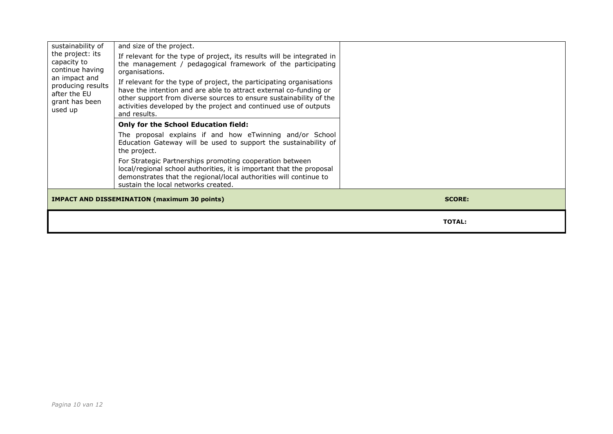| sustainability of                                                               | and size of the project.                                                                                                                                                                                                                                                                            |               |
|---------------------------------------------------------------------------------|-----------------------------------------------------------------------------------------------------------------------------------------------------------------------------------------------------------------------------------------------------------------------------------------------------|---------------|
| the project: its<br>capacity to<br>continue having                              | If relevant for the type of project, its results will be integrated in<br>the management / pedagogical framework of the participating<br>organisations.                                                                                                                                             |               |
| an impact and<br>producing results<br>after the EU<br>grant has been<br>used up | If relevant for the type of project, the participating organisations<br>have the intention and are able to attract external co-funding or<br>other support from diverse sources to ensure sustainability of the<br>activities developed by the project and continued use of outputs<br>and results. |               |
|                                                                                 | <b>Only for the School Education field:</b>                                                                                                                                                                                                                                                         |               |
|                                                                                 | The proposal explains if and how eTwinning and/or School<br>Education Gateway will be used to support the sustainability of<br>the project.                                                                                                                                                         |               |
|                                                                                 | For Strategic Partnerships promoting cooperation between<br>local/regional school authorities, it is important that the proposal<br>demonstrates that the regional/local authorities will continue to<br>sustain the local networks created.                                                        |               |
|                                                                                 | <b>IMPACT AND DISSEMINATION (maximum 30 points)</b>                                                                                                                                                                                                                                                 | <b>SCORE:</b> |
|                                                                                 |                                                                                                                                                                                                                                                                                                     | <b>TOTAL:</b> |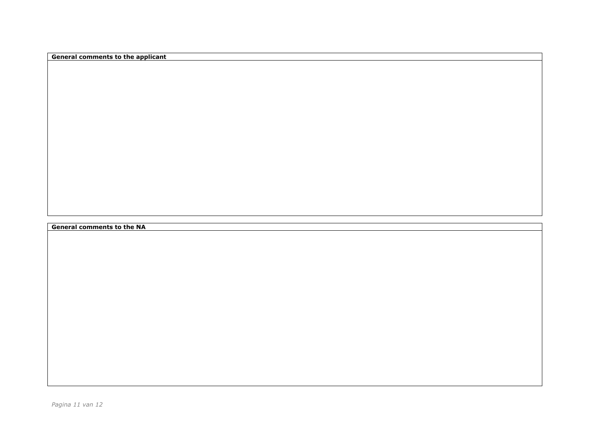**General comments to the applicant**

**General comments to the NA**